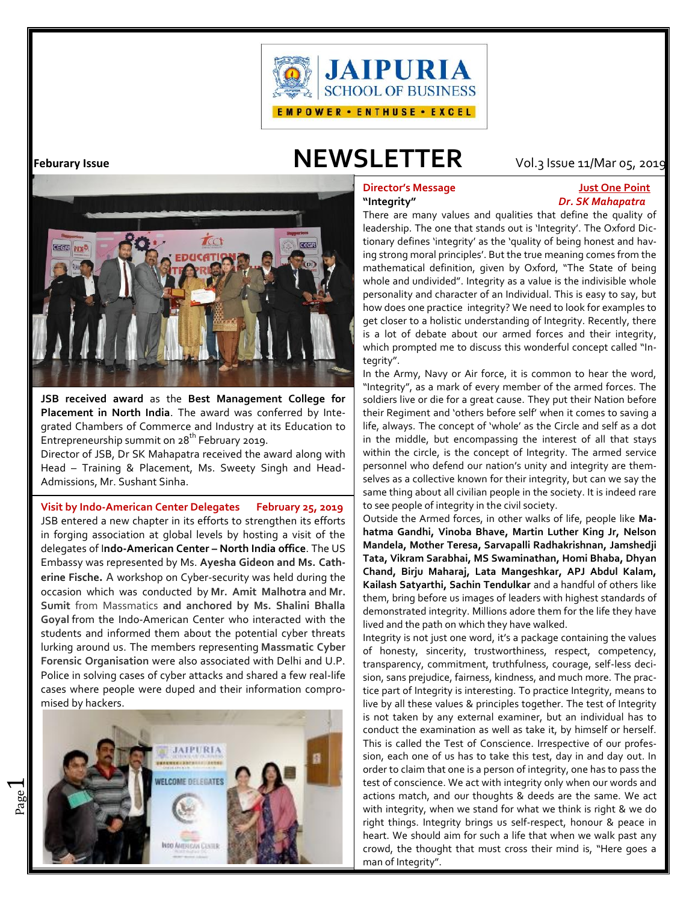

# **Feburary Issue NEWSLETTER** Vol.3Issue 11/Mar 05, 2019



**JSB received award** as the **Best Management College for Placement in North India**. The award was conferred by Integrated Chambers of Commerce and Industry at its Education to Entrepreneurship summit on  $28^{th}$  February 2019.

Director of JSB, Dr SK Mahapatra received the award along with Head – Training & Placement, Ms. Sweety Singh and Head- Admissions, Mr. Sushant Sinha.

.**Visit by Indo-American Center Delegates February 25, 2019** JSB entered a new chapter in its efforts to strengthen its efforts in forging association at global levels by hosting a visit of the delegates of I**ndo-American Center – North India office**. The US Embassy was represented by Ms. **Ayesha Gideon and Ms. Catherine Fische.** A workshop on Cyber-security was held during the occasion which was conducted by **Mr. Amit Malhotra** and **Mr. Sumit** from Massmatics **and anchored by Ms. Shalini Bhalla Goyal** from the Indo-American Center who interacted with the students and informed them about the potential cyber threats lurking around us. The members representing **Massmatic Cyber Forensic Organisation** were also associated with Delhi and U.P. Police in solving cases of cyber attacks and shared a few real-life cases where people were duped and their information compromised by hackers.



# **Director's Message Just One Point "Integrity"** *Dr. SK Mahapatra*

There are many values and qualities that define the quality of leadership. The one that stands out is 'Integrity'. The Oxford Dictionary defines 'integrity' as the 'quality of being honest and having strong moral principles'. But the true meaning comes from the mathematical definition, given by Oxford, "The State of being whole and undivided". Integrity as a value is the indivisible whole personality and character of an Individual. This is easy to say, but how does one practice integrity? We need to look for examples to get closer to a holistic understanding of Integrity. Recently, there is a lot of debate about our armed forces and their integrity, which prompted me to discuss this wonderful concept called "Integrity".

In the Army, Navy or Air force, it is common to hear the word, "Integrity", as a mark of every member of the armed forces. The soldiers live or die for a great cause. They put their Nation before their Regiment and 'others before self' when it comes to saving a life, always. The concept of 'whole' as the Circle and self as a dot in the middle, but encompassing the interest of all that stays within the circle, is the concept of Integrity. The armed service personnel who defend our nation's unity and integrity are themselves as a collective known for their integrity, but can we say the same thing about all civilian people in the society. It is indeed rare to see people of integrity in the civil society.

Outside the Armed forces, in other walks of life, people like **Mahatma Gandhi, Vinoba Bhave, Martin Luther King Jr, Nelson Mandela, Mother Teresa, Sarvapalli Radhakrishnan, Jamshedji Tata, Vikram Sarabhai, MS Swaminathan, Homi Bhaba, Dhyan Chand, Birju Maharaj, Lata Mangeshkar, APJ Abdul Kalam, Kailash Satyarthi, Sachin Tendulkar** and a handful of others like them, bring before us images of leaders with highest standards of demonstrated integrity. Millions adore them for the life they have lived and the path on which they have walked.

Integrity is not just one word, it's a package containing the values of honesty, sincerity, trustworthiness, respect, competency, transparency, commitment, truthfulness, courage, self-less decision, sans prejudice, fairness, kindness, and much more. The practice part of Integrity is interesting. To practice Integrity, means to live by all these values & principles together. The test of Integrity is not taken by any external examiner, but an individual has to conduct the examination as well as take it, by himself or herself. This is called the Test of Conscience. Irrespective of our profession, each one of us has to take this test, day in and day out. In order to claim that one is a person of integrity, one has to pass the test of conscience. We act with integrity only when our words and actions match, and our thoughts & deeds are the same. We act with integrity, when we stand for what we think is right & we do right things. Integrity brings us self-respect, honour & peace in heart. We should aim for such a life that when we walk past any crowd, the thought that must cross their mind is, "Here goes a man of Integrity".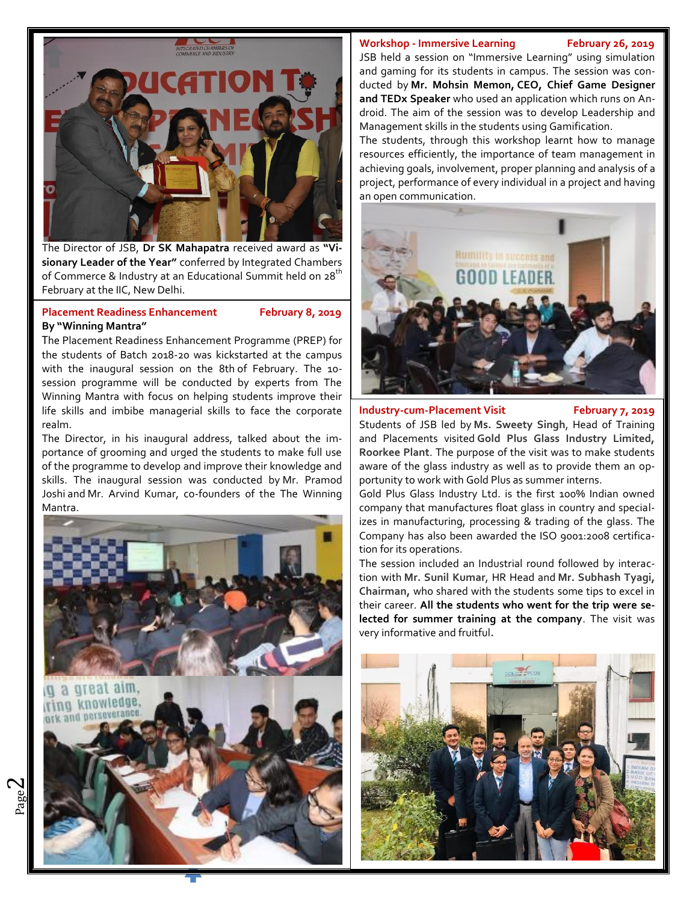The Director of JSB, **Dr SK Mahapatra** received award as **"Visionary Leader of the Year"** conferred by Integrated Chambers of Commerce & Industry at an Educational Summit held on 28<sup>th</sup> February at the IIC, New Delhi.

# Placement Readiness Enhancement February 8, 2019 **By "Winning Mantra"**

The Placement Readiness Enhancement Programme (PREP) for the students of Batch 2018-20 was kickstarted at the campus with the inaugural session on the 8th of February. The 10 session programme will be conducted by experts from The Winning Mantra with focus on helping students improve their life skills and imbibe managerial skills to face the corporate realm.

The Director, in his inaugural address, talked about the importance of grooming and urged the students to make full use of the programme to develop and improve their knowledge and skills. The inaugural session was conducted by Mr. Pramod Joshi and Mr. Arvind Kumar, co-founders of the The Winning Mantra.



## **Workshop - Immersive Learning February 26, 2019**

JSB held a session on "Immersive Learning" using simulation and gaming for its students in campus. The session was conducted by **Mr. Mohsin Memon, CEO, Chief Game Designer and TEDx Speaker** who used an application which runs on Android. The aim of the session was to develop Leadership and Management skills in the students using Gamification.

The students, through this workshop learnt how to manage resources efficiently, the importance of team management in achieving goals, involvement, proper planning and analysis of a project, performance of every individual in a project and having an open communication.



# **Industry-cum-Placement Visit February 7, 2019**

Students of JSB led by **Ms. Sweety Singh**, Head of Training and Placements visited **Gold Plus Glass Industry Limited, Roorkee Plant**. The purpose of the visit was to make students aware of the glass industry as well as to provide them an opportunity to work with Gold Plus as summer interns.

Gold Plus Glass Industry Ltd. is the first 100% Indian owned company that manufactures float glass in country and specializes in manufacturing, processing & trading of the glass. The Company has also been awarded the ISO 9001:2008 certification for its operations.

The session included an Industrial round followed by interaction with **Mr. Sunil Kumar**, HR Head and **Mr. Subhash Tyagi, Chairman,** who shared with the students some tips to excel in their career. **All the students who went for the trip were selected for summer training at the company**. The visit was very informative and fruitful**.**

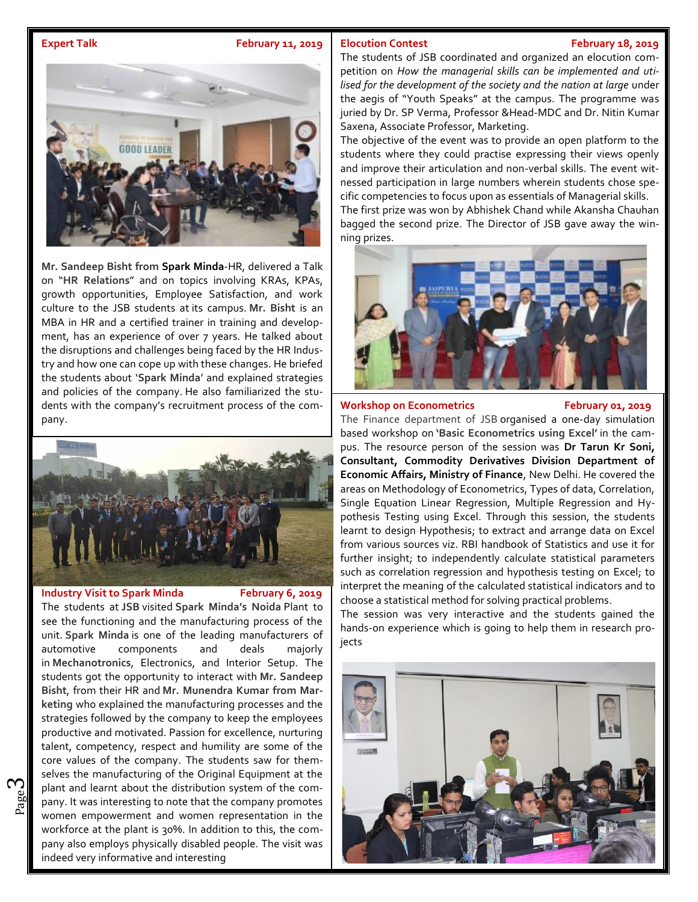### **Expert Talk February 11, 2019 Elocution Contest**

### **Elocution Contest February 18, 2019**



**Mr. Sandeep Bisht from Spark Minda**-HR, delivered a Talk on "**HR Relations**" and on topics involving KRAs, KPAs, growth opportunities, Employee Satisfaction, and work culture to the JSB students at its campus. **Mr. Bisht** is an MBA in HR and a certified trainer in training and development, has an experience of over 7 years. He talked about the disruptions and challenges being faced by the HR Industry and how one can cope up with these changes. He briefed the students about '**Spark Minda**' and explained strategies and policies of the company. He also familiarized the students with the company's recruitment process of the company.



### **Industry Visit to Spark Minda February 6, 2019**

ო

 $\frac{80}{20}$  pany. It was interesting to note that the company promotes plant and learnt about the distribution system of the com-The students at **JSB** visited **Spark Minda's Noida** Plant to see the functioning and the manufacturing process of the unit. **Spark Minda** is one of the leading manufacturers of automotive components and deals majorly in **Mechanotronics**, Electronics, and Interior Setup. The students got the opportunity to interact with **Mr. Sandeep Bisht**, from their HR and **Mr. Munendra Kumar from Marketing** who explained the manufacturing processes and the strategies followed by the company to keep the employees productive and motivated. Passion for excellence, nurturing talent, competency, respect and humility are some of the  $\|\cdot\|_{\text{max}}$ core values of the company. The students saw for themselves the manufacturing of the Original Equipment at the women empowerment and women representation in the workforce at the plant is 30%. In addition to this, the company also employs physically disabled people. The visit was indeed very informative and interesting

The students of JSB coordinated and organized an elocution competition on *How the managerial skills can be implemented and utilised for the development of the society and the nation at large* under the aegis of "Youth Speaks" at the campus. The programme was juried by Dr. SP Verma, Professor & Head-MDC and Dr. Nitin Kumar Saxena, Associate Professor, Marketing.

The objective of the event was to provide an open platform to the students where they could practise expressing their views openly and improve their articulation and non-verbal skills. The event witnessed participation in large numbers wherein students chose specific competencies to focus upon as essentials of Managerial skills. The first prize was won by Abhishek Chand while Akansha Chauhan bagged the second prize. The Director of JSB gave away the winning prizes.



#### Workshop on Econometrics February 01, 2019

The Finance department of JSB organised a one-day simulation based workshop on **'Basic Econometrics using Excel'** in the campus. The resource person of the session was **Dr Tarun Kr Soni, Consultant, Commodity Derivatives Division Department of Economic Affairs, Ministry of Finance**, New Delhi. He covered the areas on Methodology of Econometrics, Types of data, Correlation, Single Equation Linear Regression, Multiple Regression and Hypothesis Testing using Excel. Through this session, the students learnt to design Hypothesis; to extract and arrange data on Excel from various sources viz. RBI handbook of Statistics and use it for further insight; to independently calculate statistical parameters such as correlation regression and hypothesis testing on Excel; to interpret the meaning of the calculated statistical indicators and to choose a statistical method for solving practical problems.

The session was very interactive and the students gained the hands-on experience which is going to help them in research projects